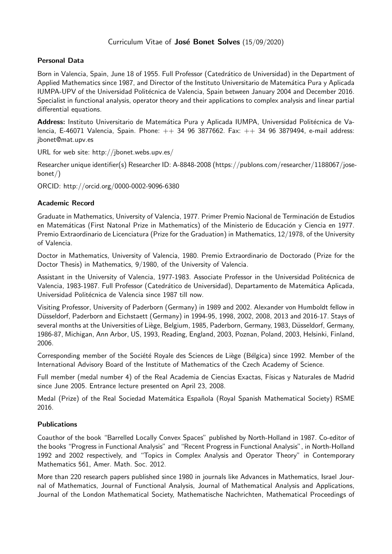# Curriculum Vitae of José Bonet Solves (15/09/2020)

# **Personal Data**

Born in Valencia, Spain, June 18 of 1955. Full Professor (Catedr´atico de Universidad) in the Department of Applied Mathematics since 1987, and Director of the Instituto Universitario de Matemática Pura y Aplicada IUMPA-UPV of the Universidad Politécnica de Valencia, Spain between January 2004 and December 2016. Specialist in functional analysis, operator theory and their applications to complex analysis and linear partial differential equations.

Address: Instituto Universitario de Matemática Pura y Aplicada IUMPA, Universidad Politécnica de Valencia, E-46071 Valencia, Spain. Phone:  $++$  34 96 3877662. Fax:  $++$  34 96 3879494, e-mail address: jbonet@mat.upv.es

URL for web site: http://jbonet.webs.upv.es/

Researcher unique identifier(s) Researcher ID: A-8848-2008 (https://publons.com/researcher/1188067/josebonet/)

ORCID: http://orcid.org/0000-0002-9096-6380

# **Academic Record**

Graduate in Mathematics, University of Valencia, 1977. Primer Premio Nacional de Terminación de Estudios en Matemáticas (First Natonal Prize in Mathematics) of the Ministerio de Educación y Ciencia en 1977. Premio Extraordinario de Licenciatura (Prize for the Graduation) in Mathematics, 12/1978, of the University of Valencia.

Doctor in Mathematics, University of Valencia, 1980. Premio Extraordinario de Doctorado (Prize for the Doctor Thesis) in Mathematics, 9/1980, of the University of Valencia.

Assistant in the University of Valencia, 1977-1983. Associate Professor in the Universidad Politécnica de Valencia, 1983-1987. Full Professor (Catedrático de Universidad), Departamento de Matemática Aplicada, Universidad Politécnica de Valencia since 1987 till now.

Visiting Professor, University of Paderborn (Germany) in 1989 and 2002. Alexander von Humboldt fellow in Düsseldorf, Paderborn and Eichstaett (Germany) in 1994-95, 1998, 2002, 2008, 2013 and 2016-17. Stays of several months at the Universities of Liège, Belgium, 1985, Paderborn, Germany, 1983, Düsseldorf, Germany, 1986-87, Michigan, Ann Arbor, US, 1993, Reading, England, 2003, Poznan, Poland, 2003, Helsinki, Finland, 2006.

Corresponding member of the Société Royale des Sciences de Liège (Bélgica) since 1992. Member of the International Advisory Board of the Institute of Mathematics of the Czech Academy of Science.

Full member (medal number 4) of the Real Academia de Ciencias Exactas, Físicas y Naturales de Madrid since June 2005. Entrance lecture presented on April 23, 2008.

Medal (Prize) of the Real Sociedad Matemática Española (Royal Spanish Mathematical Society) RSME 2016.

# **Publications**

Coauthor of the book "Barrelled Locally Convex Spaces" published by North-Holland in 1987. Co-editor of the books "Progress in Functional Analysis" and "Recent Progress in Functional Analysis", in North-Holland 1992 and 2002 respectively, and "Topics in Complex Analysis and Operator Theory" in Contemporary Mathematics 561, Amer. Math. Soc. 2012.

More than 220 research papers published since 1980 in journals like Advances in Mathematics, Israel Journal of Mathematics, Journal of Functional Analysis, Journal of Mathematical Analysis and Applications, Journal of the London Mathematical Society, Mathematische Nachrichten, Mathematical Proceedings of